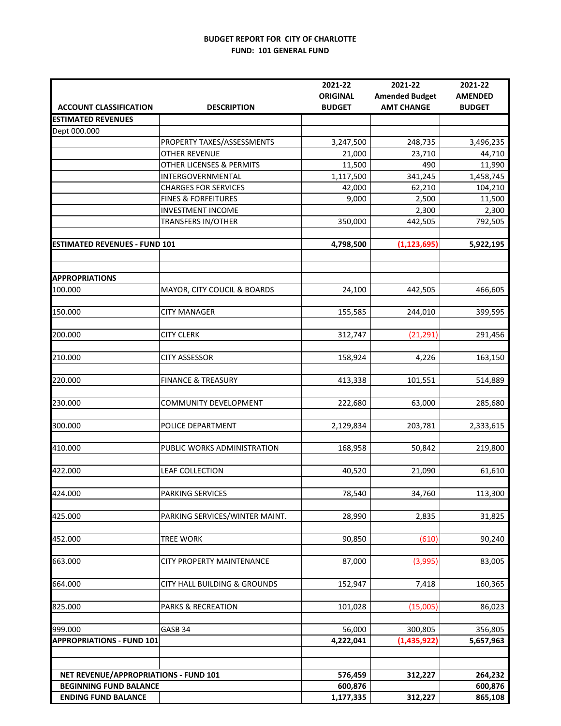#### **BUDGET REPORT FOR CITY OF CHARLOTTE FUND: 101 GENERAL FUND**

|                                       |                                     | 2021-22            | 2021-22               | 2021-22            |
|---------------------------------------|-------------------------------------|--------------------|-----------------------|--------------------|
|                                       |                                     | <b>ORIGINAL</b>    | <b>Amended Budget</b> | <b>AMENDED</b>     |
| <b>ACCOUNT CLASSIFICATION</b>         | <b>DESCRIPTION</b>                  | <b>BUDGET</b>      | <b>AMT CHANGE</b>     | <b>BUDGET</b>      |
| <b>ESTIMATED REVENUES</b>             |                                     |                    |                       |                    |
| Dept 000.000                          |                                     |                    |                       |                    |
|                                       | PROPERTY TAXES/ASSESSMENTS          | 3,247,500          | 248,735               | 3,496,235          |
|                                       | <b>OTHER REVENUE</b>                | 21,000             | 23,710                | 44,710             |
|                                       | <b>OTHER LICENSES &amp; PERMITS</b> | 11,500             | 490                   | 11,990             |
|                                       | INTERGOVERNMENTAL                   | 1,117,500          | 341,245               | 1,458,745          |
|                                       | <b>CHARGES FOR SERVICES</b>         | 42,000             | 62,210                | 104,210            |
|                                       | <b>FINES &amp; FORFEITURES</b>      | 9,000              | 2,500                 | 11,500             |
|                                       | <b>INVESTMENT INCOME</b>            |                    | 2,300                 | 2,300              |
|                                       | TRANSFERS IN/OTHER                  | 350,000            | 442,505               | 792,505            |
|                                       |                                     |                    |                       |                    |
| <b>ESTIMATED REVENUES - FUND 101</b>  |                                     | 4,798,500          | (1, 123, 695)         | 5,922,195          |
|                                       |                                     |                    |                       |                    |
|                                       |                                     |                    |                       |                    |
| <b>APPROPRIATIONS</b>                 |                                     |                    |                       |                    |
| 100.000                               | MAYOR, CITY COUCIL & BOARDS         | 24,100             | 442,505               | 466,605            |
|                                       |                                     |                    |                       |                    |
| 150.000                               | <b>CITY MANAGER</b>                 | 155,585            | 244,010               | 399,595            |
|                                       |                                     |                    |                       |                    |
| 200.000                               | <b>CITY CLERK</b>                   | 312,747            | (21, 291)             | 291,456            |
|                                       |                                     |                    |                       |                    |
| 210.000                               | <b>CITY ASSESSOR</b>                | 158,924            | 4,226                 | 163,150            |
| 220.000                               | <b>FINANCE &amp; TREASURY</b>       | 413,338            | 101,551               | 514,889            |
|                                       |                                     |                    |                       |                    |
| 230.000                               | COMMUNITY DEVELOPMENT               | 222,680            | 63,000                | 285,680            |
|                                       |                                     |                    |                       |                    |
| 300.000                               | POLICE DEPARTMENT                   | 2,129,834          | 203,781               | 2,333,615          |
|                                       |                                     |                    |                       |                    |
| 410.000                               | PUBLIC WORKS ADMINISTRATION         | 168,958            | 50,842                | 219,800            |
|                                       |                                     |                    |                       |                    |
| 422.000                               | LEAF COLLECTION                     | 40,520             | 21,090                | 61,610             |
|                                       |                                     |                    |                       |                    |
| 424.000                               | PARKING SERVICES                    | 78,540             | 34,760                | 113,300            |
|                                       |                                     |                    |                       |                    |
| 425.000                               | PARKING SERVICES/WINTER MAINT.      | 28,990             | 2,835                 | 31,825             |
|                                       |                                     |                    |                       |                    |
| 452.000                               | <b>TREE WORK</b>                    | 90,850             | (610)                 | 90,240             |
|                                       |                                     |                    |                       |                    |
| 663.000                               | <b>CITY PROPERTY MAINTENANCE</b>    | 87,000             | (3,995)               | 83,005             |
|                                       |                                     |                    |                       |                    |
| 664.000                               | CITY HALL BUILDING & GROUNDS        | 152,947            | 7,418                 | 160,365            |
|                                       |                                     |                    |                       |                    |
| 825.000                               | PARKS & RECREATION                  | 101,028            | (15,005)              | 86,023             |
|                                       |                                     |                    |                       |                    |
| 999.000                               | GASB 34                             | 56,000             | 300,805               | 356,805            |
| <b>APPROPRIATIONS - FUND 101</b>      |                                     | 4,222,041          | (1,435,922)           | 5,657,963          |
|                                       |                                     |                    |                       |                    |
| NET REVENUE/APPROPRIATIONS - FUND 101 |                                     |                    |                       |                    |
| <b>BEGINNING FUND BALANCE</b>         |                                     | 576,459<br>600,876 | 312,227               | 264,232<br>600,876 |
| <b>ENDING FUND BALANCE</b>            |                                     | 1,177,335          | 312,227               | 865,108            |
|                                       |                                     |                    |                       |                    |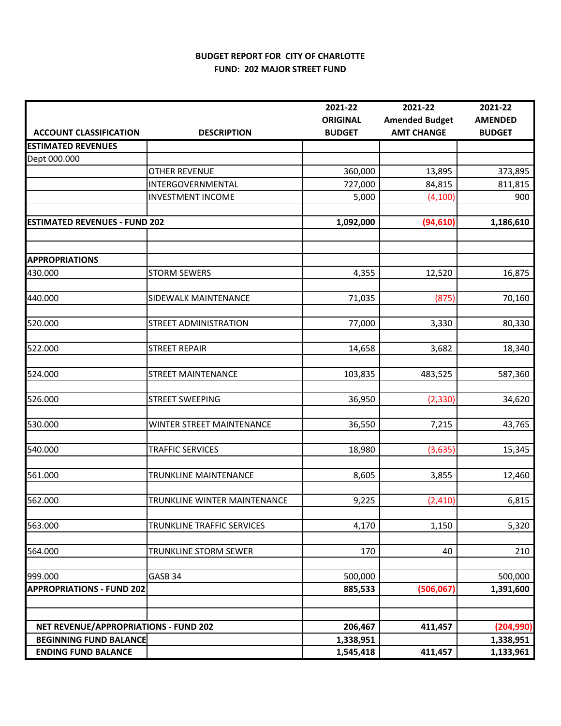## **BUDGET REPORT FOR CITY OF CHARLOTTE FUND: 202 MAJOR STREET FUND**

|                                       |                              | 2021-22                          | 2021-22                                    | 2021-22                         |
|---------------------------------------|------------------------------|----------------------------------|--------------------------------------------|---------------------------------|
| <b>ACCOUNT CLASSIFICATION</b>         | <b>DESCRIPTION</b>           | <b>ORIGINAL</b><br><b>BUDGET</b> | <b>Amended Budget</b><br><b>AMT CHANGE</b> | <b>AMENDED</b><br><b>BUDGET</b> |
| <b>ESTIMATED REVENUES</b>             |                              |                                  |                                            |                                 |
| Dept 000.000                          |                              |                                  |                                            |                                 |
|                                       | OTHER REVENUE                | 360,000                          | 13,895                                     | 373,895                         |
|                                       | INTERGOVERNMENTAL            | 727,000                          | 84,815                                     | 811,815                         |
|                                       | <b>INVESTMENT INCOME</b>     | 5,000                            | (4, 100)                                   | 900                             |
|                                       |                              |                                  |                                            |                                 |
| <b>ESTIMATED REVENUES - FUND 202</b>  |                              | 1,092,000                        | (94, 610)                                  | 1,186,610                       |
|                                       |                              |                                  |                                            |                                 |
| <b>APPROPRIATIONS</b>                 |                              |                                  |                                            |                                 |
| 430.000                               | <b>STORM SEWERS</b>          | 4,355                            | 12,520                                     | 16,875                          |
|                                       |                              |                                  |                                            |                                 |
| 440.000                               | SIDEWALK MAINTENANCE         | 71,035                           | (875)                                      | 70,160                          |
|                                       |                              |                                  |                                            |                                 |
| 520.000                               | <b>STREET ADMINISTRATION</b> | 77,000                           | 3,330                                      | 80,330                          |
|                                       |                              |                                  |                                            |                                 |
| 522.000                               | <b>STREET REPAIR</b>         | 14,658                           | 3,682                                      | 18,340                          |
|                                       |                              |                                  |                                            |                                 |
| 524.000                               | <b>STREET MAINTENANCE</b>    | 103,835                          | 483,525                                    | 587,360                         |
|                                       |                              |                                  |                                            |                                 |
| 526.000                               | <b>STREET SWEEPING</b>       | 36,950                           | (2, 330)                                   | 34,620                          |
|                                       |                              |                                  |                                            |                                 |
| 530.000                               | WINTER STREET MAINTENANCE    | 36,550                           | 7,215                                      | 43,765                          |
| 540.000                               | <b>TRAFFIC SERVICES</b>      | 18,980                           | (3,635)                                    | 15,345                          |
|                                       |                              |                                  |                                            |                                 |
| 561.000                               | TRUNKLINE MAINTENANCE        | 8,605                            | 3,855                                      | 12,460                          |
|                                       |                              |                                  |                                            |                                 |
| 562.000                               | TRUNKLINE WINTER MAINTENANCE | 9,225                            | (2, 410)                                   | 6,815                           |
|                                       |                              |                                  |                                            |                                 |
| 563.000                               | TRUNKLINE TRAFFIC SERVICES   | 4,170                            | 1,150                                      | 5,320                           |
|                                       |                              |                                  |                                            |                                 |
| 564.000                               | TRUNKLINE STORM SEWER        | 170                              | 40                                         | 210                             |
|                                       |                              |                                  |                                            |                                 |
| 999.000                               | GASB 34                      | 500,000                          |                                            | 500,000                         |
| <b>APPROPRIATIONS - FUND 202</b>      |                              | 885,533                          | (506, 067)                                 | 1,391,600                       |
|                                       |                              |                                  |                                            |                                 |
|                                       |                              |                                  |                                            |                                 |
| NET REVENUE/APPROPRIATIONS - FUND 202 |                              | 206,467                          | 411,457                                    | (204, 990)                      |
| <b>BEGINNING FUND BALANCE</b>         |                              | 1,338,951                        |                                            | 1,338,951                       |
| <b>ENDING FUND BALANCE</b>            |                              | 1,545,418                        | 411,457                                    | 1,133,961                       |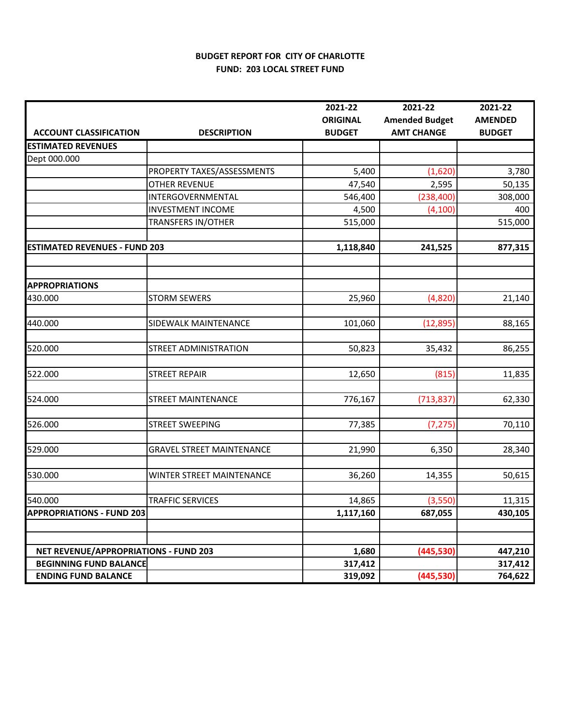## **BUDGET REPORT FOR CITY OF CHARLOTTE FUND: 203 LOCAL STREET FUND**

|                                              |                                  | 2021-22         | 2021-22               | 2021-22        |
|----------------------------------------------|----------------------------------|-----------------|-----------------------|----------------|
|                                              |                                  | <b>ORIGINAL</b> | <b>Amended Budget</b> | <b>AMENDED</b> |
| <b>ACCOUNT CLASSIFICATION</b>                | <b>DESCRIPTION</b>               | <b>BUDGET</b>   | <b>AMT CHANGE</b>     | <b>BUDGET</b>  |
| <b>ESTIMATED REVENUES</b>                    |                                  |                 |                       |                |
| Dept 000.000                                 |                                  |                 |                       |                |
|                                              | PROPERTY TAXES/ASSESSMENTS       | 5,400           | (1,620)               | 3,780          |
|                                              | <b>OTHER REVENUE</b>             | 47,540          | 2,595                 | 50,135         |
|                                              | INTERGOVERNMENTAL                | 546,400         | (238, 400)            | 308,000        |
|                                              | <b>INVESTMENT INCOME</b>         | 4,500           | (4, 100)              | 400            |
|                                              | <b>TRANSFERS IN/OTHER</b>        | 515,000         |                       | 515,000        |
| <b>ESTIMATED REVENUES - FUND 203</b>         |                                  | 1,118,840       | 241,525               | 877,315        |
| <b>APPROPRIATIONS</b>                        |                                  |                 |                       |                |
| 430.000                                      | <b>STORM SEWERS</b>              | 25,960          | (4,820)               | 21,140         |
| 440.000                                      | SIDEWALK MAINTENANCE             | 101,060         | (12, 895)             | 88,165         |
| 520.000                                      | <b>STREET ADMINISTRATION</b>     | 50,823          | 35,432                | 86,255         |
| 522.000                                      | <b>STREET REPAIR</b>             | 12,650          | (815)                 | 11,835         |
| 524.000                                      | <b>STREET MAINTENANCE</b>        | 776,167         | (713, 837)            | 62,330         |
| 526.000                                      | <b>STREET SWEEPING</b>           | 77,385          | (7, 275)              | 70,110         |
| 529.000                                      | <b>GRAVEL STREET MAINTENANCE</b> | 21,990          | 6,350                 | 28,340         |
| 530.000                                      | WINTER STREET MAINTENANCE        | 36,260          | 14,355                | 50,615         |
| 540.000                                      | <b>TRAFFIC SERVICES</b>          | 14,865          | (3,550)               | 11,315         |
| <b>APPROPRIATIONS - FUND 203</b>             |                                  | 1,117,160       | 687,055               | 430,105        |
|                                              |                                  |                 |                       |                |
| <b>NET REVENUE/APPROPRIATIONS - FUND 203</b> |                                  | 1,680           | (445, 530)            | 447,210        |
| <b>BEGINNING FUND BALANCE</b>                |                                  | 317,412         |                       | 317,412        |
| <b>ENDING FUND BALANCE</b>                   |                                  | 319,092         | (445, 530)            | 764,622        |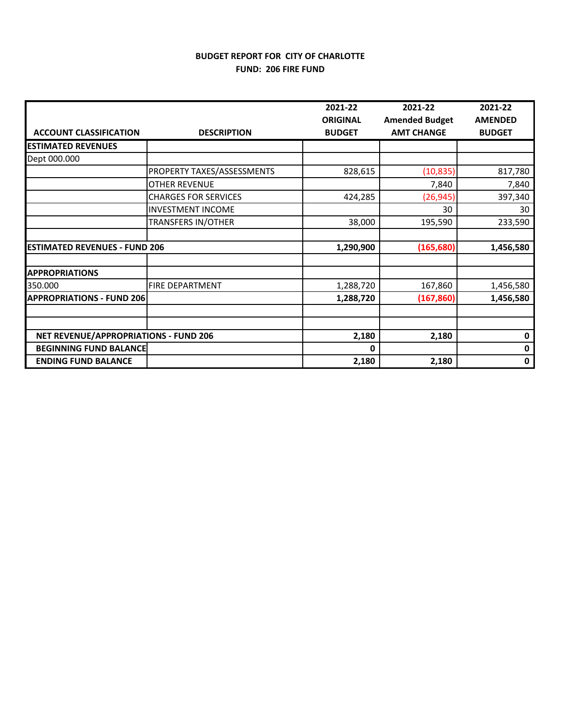## **BUDGET REPORT FOR CITY OF CHARLOTTE FUND: 206 FIRE FUND**

|                                       |                             | 2021-22                          | 2021-22                                    | 2021-22                         |
|---------------------------------------|-----------------------------|----------------------------------|--------------------------------------------|---------------------------------|
| <b>ACCOUNT CLASSIFICATION</b>         | <b>DESCRIPTION</b>          | <b>ORIGINAL</b><br><b>BUDGET</b> | <b>Amended Budget</b><br><b>AMT CHANGE</b> | <b>AMENDED</b><br><b>BUDGET</b> |
| <b>ESTIMATED REVENUES</b>             |                             |                                  |                                            |                                 |
| Dept 000.000                          |                             |                                  |                                            |                                 |
|                                       | PROPERTY TAXES/ASSESSMENTS  | 828,615                          | (10, 835)                                  | 817,780                         |
|                                       | <b>OTHER REVENUE</b>        |                                  | 7,840                                      | 7,840                           |
|                                       | <b>CHARGES FOR SERVICES</b> | 424,285                          | (26, 945)                                  | 397,340                         |
|                                       | <b>INVESTMENT INCOME</b>    |                                  | 30                                         | 30                              |
|                                       | <b>TRANSFERS IN/OTHER</b>   | 38,000                           | 195,590                                    | 233,590                         |
|                                       |                             |                                  |                                            |                                 |
| <b>ESTIMATED REVENUES - FUND 206</b>  |                             | 1,290,900                        | (165, 680)                                 | 1,456,580                       |
|                                       |                             |                                  |                                            |                                 |
| <b>APPROPRIATIONS</b>                 |                             |                                  |                                            |                                 |
| 350.000                               | <b>FIRE DEPARTMENT</b>      | 1,288,720                        | 167,860                                    | 1,456,580                       |
| <b>APPROPRIATIONS - FUND 206</b>      |                             | 1,288,720                        | (167, 860)                                 | 1,456,580                       |
|                                       |                             |                                  |                                            |                                 |
|                                       |                             |                                  |                                            |                                 |
| NET REVENUE/APPROPRIATIONS - FUND 206 |                             | 2,180                            | 2,180                                      | 0                               |
| <b>BEGINNING FUND BALANCE</b>         |                             | 0                                |                                            | 0                               |
| <b>ENDING FUND BALANCE</b>            |                             | 2,180                            | 2,180                                      | 0                               |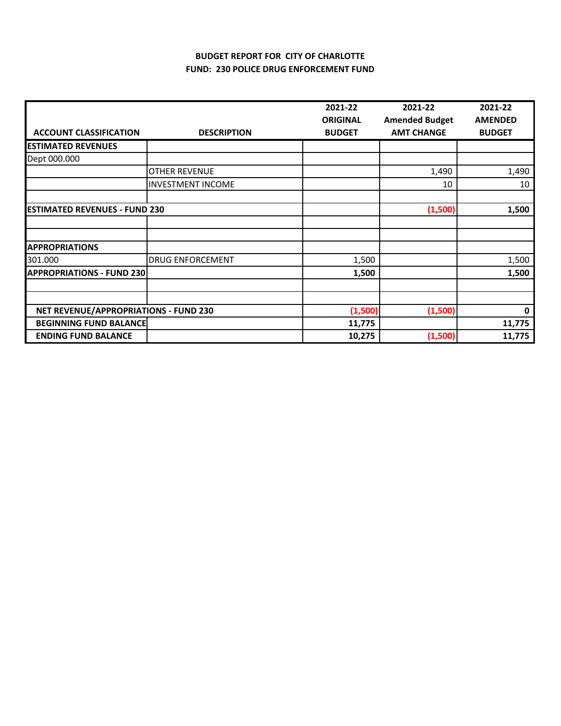## **BUDGET REPORT FOR CITY OF CHARLOTTE FUND: 230 POLICE DRUG ENFORCEMENT FUND**

|                                              |                          | 2021-22         | 2021-22               | 2021-22        |
|----------------------------------------------|--------------------------|-----------------|-----------------------|----------------|
|                                              |                          | <b>ORIGINAL</b> | <b>Amended Budget</b> | <b>AMENDED</b> |
| <b>ACCOUNT CLASSIFICATION</b>                | <b>DESCRIPTION</b>       | <b>BUDGET</b>   | <b>AMT CHANGE</b>     | <b>BUDGET</b>  |
| <b>ESTIMATED REVENUES</b>                    |                          |                 |                       |                |
| Dept 000.000                                 |                          |                 |                       |                |
|                                              | <b>OTHER REVENUE</b>     |                 | 1,490                 | 1,490          |
|                                              | <b>INVESTMENT INCOME</b> |                 | 10                    | 10             |
|                                              |                          |                 |                       |                |
| <b>ESTIMATED REVENUES - FUND 230</b>         |                          |                 | (1,500)               | 1,500          |
|                                              |                          |                 |                       |                |
|                                              |                          |                 |                       |                |
| <b>APPROPRIATIONS</b>                        |                          |                 |                       |                |
| 301.000                                      | <b>DRUG ENFORCEMENT</b>  | 1,500           |                       | 1,500          |
| <b>APPROPRIATIONS - FUND 230</b>             |                          | 1,500           |                       | 1,500          |
|                                              |                          |                 |                       |                |
|                                              |                          |                 |                       |                |
| <b>NET REVENUE/APPROPRIATIONS - FUND 230</b> |                          | (1,500)         | (1,500)               | $\mathbf 0$    |
| <b>BEGINNING FUND BALANCE</b>                |                          | 11,775          |                       | 11,775         |
| <b>ENDING FUND BALANCE</b>                   |                          | 10,275          | (1,500)               | 11,775         |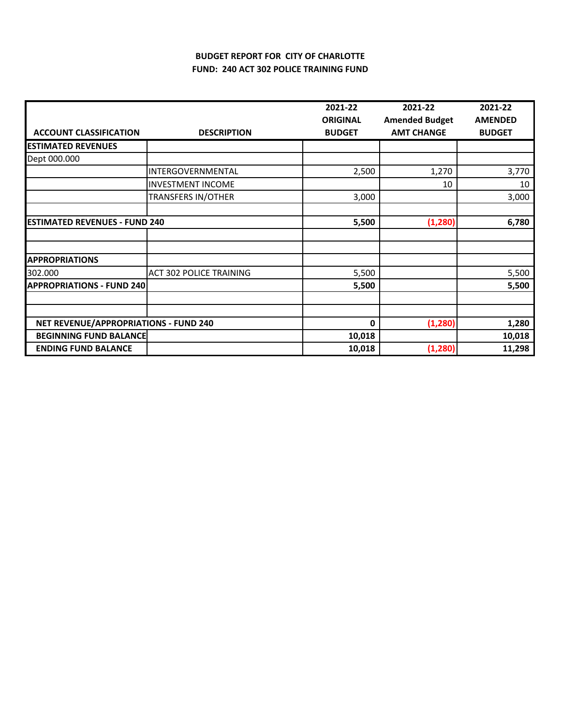# **BUDGET REPORT FOR CITY OF CHARLOTTE FUND: 240 ACT 302 POLICE TRAINING FUND**

|                                       |                                | 2021-22         | 2021-22               | 2021-22        |
|---------------------------------------|--------------------------------|-----------------|-----------------------|----------------|
|                                       |                                | <b>ORIGINAL</b> | <b>Amended Budget</b> | <b>AMENDED</b> |
| <b>ACCOUNT CLASSIFICATION</b>         | <b>DESCRIPTION</b>             | <b>BUDGET</b>   | <b>AMT CHANGE</b>     | <b>BUDGET</b>  |
| <b>ESTIMATED REVENUES</b>             |                                |                 |                       |                |
| Dept 000.000                          |                                |                 |                       |                |
|                                       | INTERGOVERNMENTAL              | 2,500           | 1,270                 | 3,770          |
|                                       | <b>INVESTMENT INCOME</b>       |                 | 10                    | 10             |
|                                       | <b>TRANSFERS IN/OTHER</b>      | 3,000           |                       | 3,000          |
|                                       |                                |                 |                       |                |
| <b>ESTIMATED REVENUES - FUND 240</b>  |                                | 5,500           | (1, 280)              | 6,780          |
|                                       |                                |                 |                       |                |
|                                       |                                |                 |                       |                |
| <b>APPROPRIATIONS</b>                 |                                |                 |                       |                |
| 302.000                               | <b>ACT 302 POLICE TRAINING</b> | 5,500           |                       | 5,500          |
| <b>APPROPRIATIONS - FUND 240</b>      |                                | 5,500           |                       | 5,500          |
|                                       |                                |                 |                       |                |
|                                       |                                |                 |                       |                |
| NET REVENUE/APPROPRIATIONS - FUND 240 |                                | 0               | (1, 280)              | 1,280          |
| <b>BEGINNING FUND BALANCE</b>         |                                | 10,018          |                       | 10,018         |
| <b>ENDING FUND BALANCE</b>            |                                | 10,018          | (1, 280)              | 11,298         |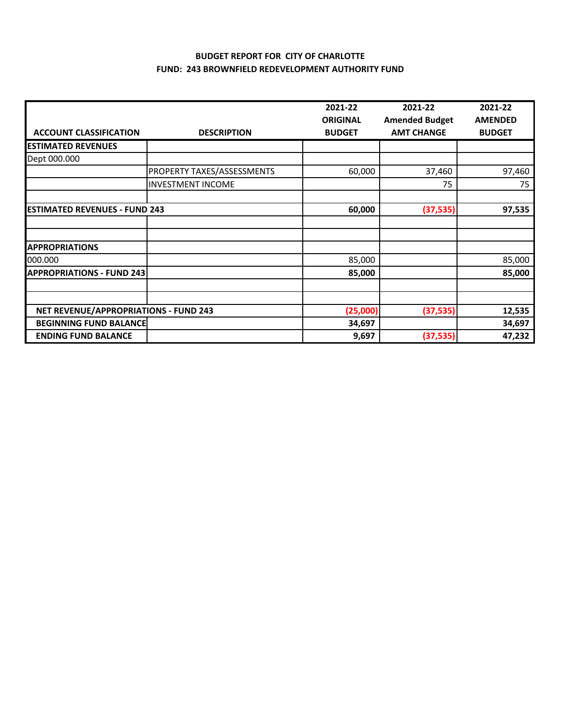#### **BUDGET REPORT FOR CITY OF CHARLOTTE FUND: 243 BROWNFIELD REDEVELOPMENT AUTHORITY FUND**

|                                              |                            | 2021-22         | 2021-22               | 2021-22        |
|----------------------------------------------|----------------------------|-----------------|-----------------------|----------------|
|                                              |                            | <b>ORIGINAL</b> | <b>Amended Budget</b> | <b>AMENDED</b> |
| <b>ACCOUNT CLASSIFICATION</b>                | <b>DESCRIPTION</b>         | <b>BUDGET</b>   | <b>AMT CHANGE</b>     | <b>BUDGET</b>  |
| <b>ESTIMATED REVENUES</b>                    |                            |                 |                       |                |
| Dept 000.000                                 |                            |                 |                       |                |
|                                              | PROPERTY TAXES/ASSESSMENTS | 60,000          | 37,460                | 97,460         |
|                                              | <b>INVESTMENT INCOME</b>   |                 | 75                    | 75             |
|                                              |                            |                 |                       |                |
| <b>ESTIMATED REVENUES - FUND 243</b>         |                            | 60,000          | (37, 535)             | 97,535         |
|                                              |                            |                 |                       |                |
|                                              |                            |                 |                       |                |
| <b>APPROPRIATIONS</b>                        |                            |                 |                       |                |
| 000.000                                      |                            | 85,000          |                       | 85,000         |
| <b>APPROPRIATIONS - FUND 243</b>             |                            | 85,000          |                       | 85,000         |
|                                              |                            |                 |                       |                |
|                                              |                            |                 |                       |                |
| <b>NET REVENUE/APPROPRIATIONS - FUND 243</b> |                            | (25,000)        | (37, 535)             | 12,535         |
| <b>BEGINNING FUND BALANCE</b>                |                            | 34,697          |                       | 34,697         |
| <b>ENDING FUND BALANCE</b>                   |                            | 9,697           | (37, 535)             | 47,232         |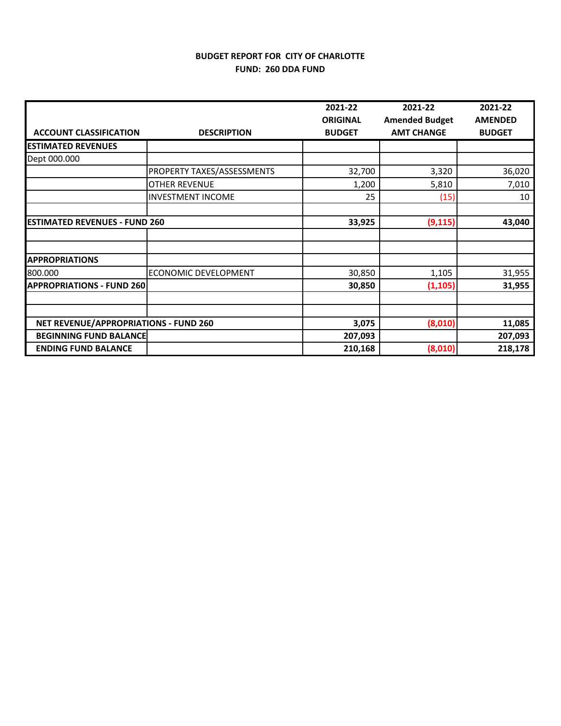## **BUDGET REPORT FOR CITY OF CHARLOTTE FUND: 260 DDA FUND**

|                                       |                            | 2021-22                          | 2021-22                                    | 2021-22                         |
|---------------------------------------|----------------------------|----------------------------------|--------------------------------------------|---------------------------------|
| <b>ACCOUNT CLASSIFICATION</b>         | <b>DESCRIPTION</b>         | <b>ORIGINAL</b><br><b>BUDGET</b> | <b>Amended Budget</b><br><b>AMT CHANGE</b> | <b>AMENDED</b><br><b>BUDGET</b> |
| <b>ESTIMATED REVENUES</b>             |                            |                                  |                                            |                                 |
| Dept 000.000                          |                            |                                  |                                            |                                 |
|                                       | PROPERTY TAXES/ASSESSMENTS | 32,700                           | 3,320                                      | 36,020                          |
|                                       | <b>OTHER REVENUE</b>       | 1,200                            | 5,810                                      | 7,010                           |
|                                       | <b>INVESTMENT INCOME</b>   | 25                               | (15)                                       | 10                              |
|                                       |                            |                                  |                                            |                                 |
| <b>ESTIMATED REVENUES - FUND 260</b>  |                            | 33,925                           | (9, 115)                                   | 43,040                          |
|                                       |                            |                                  |                                            |                                 |
| <b>APPROPRIATIONS</b>                 |                            |                                  |                                            |                                 |
| 800.000                               | ECONOMIC DEVELOPMENT       | 30,850                           | 1,105                                      | 31,955                          |
| <b>APPROPRIATIONS - FUND 260</b>      |                            | 30,850                           | (1, 105)                                   | 31,955                          |
|                                       |                            |                                  |                                            |                                 |
|                                       |                            |                                  |                                            |                                 |
| NET REVENUE/APPROPRIATIONS - FUND 260 |                            | 3,075                            | (8,010)                                    | 11,085                          |
| <b>BEGINNING FUND BALANCE</b>         |                            | 207,093                          |                                            | 207,093                         |
| <b>ENDING FUND BALANCE</b>            |                            | 210,168                          | (8,010)                                    | 218,178                         |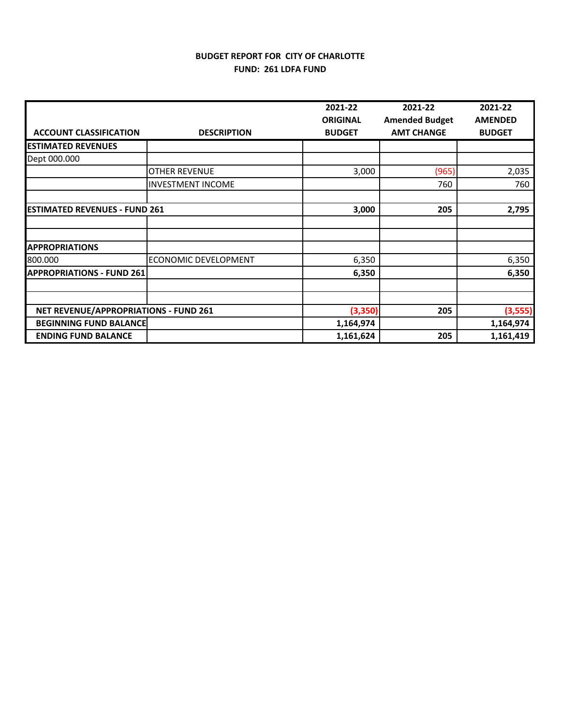# **BUDGET REPORT FOR CITY OF CHARLOTTE FUND: 261 LDFA FUND**

|                                       |                          | 2021-22         | 2021-22               | 2021-22        |
|---------------------------------------|--------------------------|-----------------|-----------------------|----------------|
|                                       |                          | <b>ORIGINAL</b> | <b>Amended Budget</b> | <b>AMENDED</b> |
| <b>ACCOUNT CLASSIFICATION</b>         | <b>DESCRIPTION</b>       | <b>BUDGET</b>   | <b>AMT CHANGE</b>     | <b>BUDGET</b>  |
| <b>ESTIMATED REVENUES</b>             |                          |                 |                       |                |
| Dept 000.000                          |                          |                 |                       |                |
|                                       | <b>OTHER REVENUE</b>     | 3,000           | (965)                 | 2,035          |
|                                       | <b>INVESTMENT INCOME</b> |                 | 760                   | 760            |
|                                       |                          |                 |                       |                |
| <b>ESTIMATED REVENUES - FUND 261</b>  |                          | 3,000           | 205                   | 2,795          |
|                                       |                          |                 |                       |                |
|                                       |                          |                 |                       |                |
| <b>APPROPRIATIONS</b>                 |                          |                 |                       |                |
| 800.000                               | ECONOMIC DEVELOPMENT     | 6,350           |                       | 6,350          |
| <b>APPROPRIATIONS - FUND 261</b>      |                          | 6,350           |                       | 6,350          |
|                                       |                          |                 |                       |                |
|                                       |                          |                 |                       |                |
| NET REVENUE/APPROPRIATIONS - FUND 261 |                          | (3,350)         | 205                   | (3,555)        |
| <b>BEGINNING FUND BALANCE</b>         |                          | 1,164,974       |                       | 1,164,974      |
| <b>ENDING FUND BALANCE</b>            |                          | 1,161,624       | 205                   | 1,161,419      |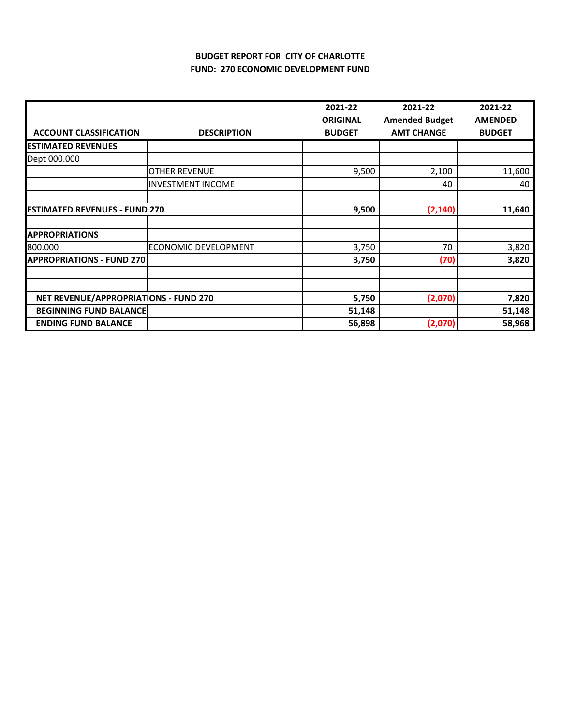## **BUDGET REPORT FOR CITY OF CHARLOTTE FUND: 270 ECONOMIC DEVELOPMENT FUND**

|                                       |                          | 2021-22         | 2021-22               | 2021-22        |
|---------------------------------------|--------------------------|-----------------|-----------------------|----------------|
|                                       |                          | <b>ORIGINAL</b> | <b>Amended Budget</b> | <b>AMENDED</b> |
| <b>ACCOUNT CLASSIFICATION</b>         | <b>DESCRIPTION</b>       | <b>BUDGET</b>   | <b>AMT CHANGE</b>     | <b>BUDGET</b>  |
| <b>ESTIMATED REVENUES</b>             |                          |                 |                       |                |
| Dept 000.000                          |                          |                 |                       |                |
|                                       | <b>OTHER REVENUE</b>     | 9,500           | 2,100                 | 11,600         |
|                                       | <b>INVESTMENT INCOME</b> |                 | 40                    | 40             |
|                                       |                          |                 |                       |                |
| <b>ESTIMATED REVENUES - FUND 270</b>  |                          | 9,500           | (2, 140)              | 11,640         |
|                                       |                          |                 |                       |                |
| <b>APPROPRIATIONS</b>                 |                          |                 |                       |                |
| 800.000                               | ECONOMIC DEVELOPMENT     | 3,750           | 70                    | 3,820          |
| <b>APPROPRIATIONS - FUND 270</b>      |                          | 3,750           | (70)                  | 3,820          |
|                                       |                          |                 |                       |                |
|                                       |                          |                 |                       |                |
| NET REVENUE/APPROPRIATIONS - FUND 270 |                          | 5,750           | (2,070)               | 7,820          |
| <b>BEGINNING FUND BALANCE</b>         |                          | 51,148          |                       | 51,148         |
| <b>ENDING FUND BALANCE</b>            |                          | 56,898          | (2,070)               | 58,968         |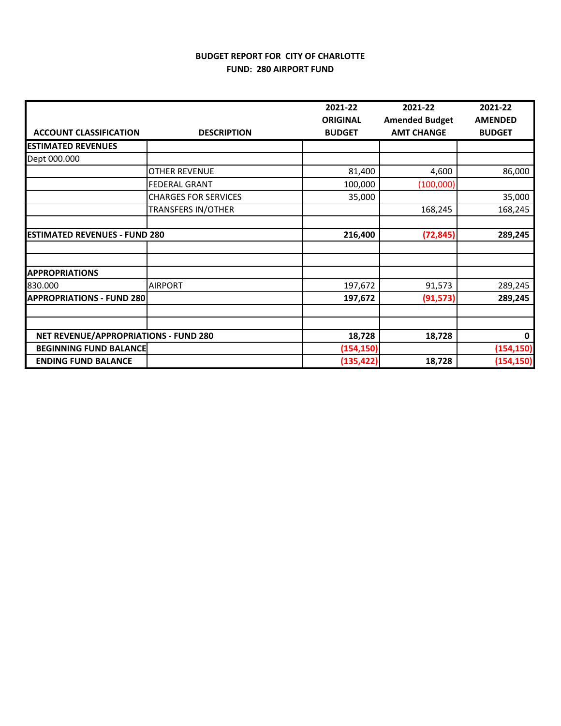# **BUDGET REPORT FOR CITY OF CHARLOTTE FUND: 280 AIRPORT FUND**

|                                       |                             | 2021-22                          | 2021-22                                    | 2021-22                         |
|---------------------------------------|-----------------------------|----------------------------------|--------------------------------------------|---------------------------------|
| <b>ACCOUNT CLASSIFICATION</b>         | <b>DESCRIPTION</b>          | <b>ORIGINAL</b><br><b>BUDGET</b> | <b>Amended Budget</b><br><b>AMT CHANGE</b> | <b>AMENDED</b><br><b>BUDGET</b> |
| <b>ESTIMATED REVENUES</b>             |                             |                                  |                                            |                                 |
| Dept 000.000                          |                             |                                  |                                            |                                 |
|                                       | <b>OTHER REVENUE</b>        | 81,400                           | 4,600                                      | 86,000                          |
|                                       | <b>FEDERAL GRANT</b>        | 100,000                          | (100,000)                                  |                                 |
|                                       | <b>CHARGES FOR SERVICES</b> | 35,000                           |                                            | 35,000                          |
|                                       | <b>TRANSFERS IN/OTHER</b>   |                                  | 168,245                                    | 168,245                         |
|                                       |                             |                                  |                                            |                                 |
| <b>ESTIMATED REVENUES - FUND 280</b>  |                             | 216,400                          | (72, 845)                                  | 289,245                         |
|                                       |                             |                                  |                                            |                                 |
|                                       |                             |                                  |                                            |                                 |
| <b>APPROPRIATIONS</b>                 |                             |                                  |                                            |                                 |
| 830.000                               | <b>AIRPORT</b>              | 197,672                          | 91,573                                     | 289,245                         |
| <b>APPROPRIATIONS - FUND 280</b>      |                             | 197,672                          | (91, 573)                                  | 289,245                         |
|                                       |                             |                                  |                                            |                                 |
|                                       |                             |                                  |                                            |                                 |
| NET REVENUE/APPROPRIATIONS - FUND 280 |                             | 18,728                           | 18,728                                     | 0                               |
| <b>BEGINNING FUND BALANCE</b>         |                             | (154, 150)                       |                                            | (154, 150)                      |
| <b>ENDING FUND BALANCE</b>            |                             | (135, 422)                       | 18,728                                     | (154, 150)                      |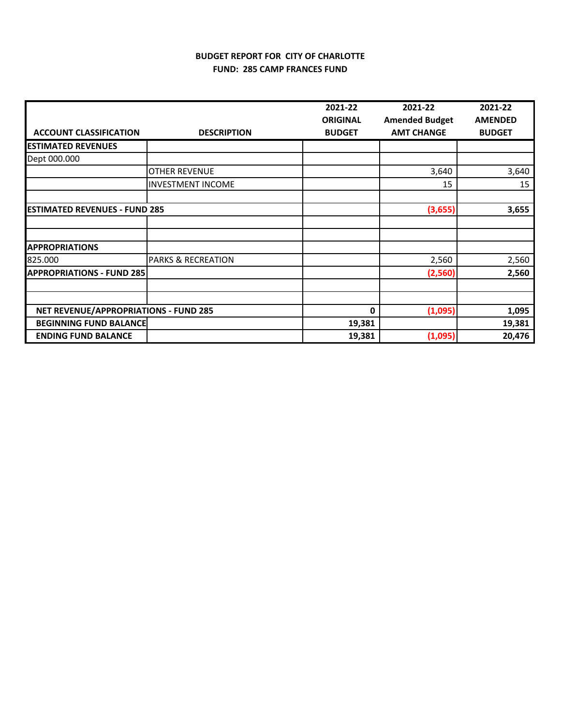## **BUDGET REPORT FOR CITY OF CHARLOTTE FUND: 285 CAMP FRANCES FUND**

|                                              |                               | 2021-22         | 2021-22               | 2021-22        |
|----------------------------------------------|-------------------------------|-----------------|-----------------------|----------------|
|                                              |                               | <b>ORIGINAL</b> | <b>Amended Budget</b> | <b>AMENDED</b> |
| <b>ACCOUNT CLASSIFICATION</b>                | <b>DESCRIPTION</b>            | <b>BUDGET</b>   | <b>AMT CHANGE</b>     | <b>BUDGET</b>  |
| <b>ESTIMATED REVENUES</b>                    |                               |                 |                       |                |
| Dept 000.000                                 |                               |                 |                       |                |
|                                              | <b>OTHER REVENUE</b>          |                 | 3,640                 | 3,640          |
|                                              | <b>INVESTMENT INCOME</b>      |                 | 15                    | 15             |
|                                              |                               |                 |                       |                |
| <b>ESTIMATED REVENUES - FUND 285</b>         |                               |                 | (3,655)               | 3,655          |
|                                              |                               |                 |                       |                |
|                                              |                               |                 |                       |                |
| <b>APPROPRIATIONS</b>                        |                               |                 |                       |                |
| 825.000                                      | <b>PARKS &amp; RECREATION</b> |                 | 2,560                 | 2,560          |
| <b>APPROPRIATIONS - FUND 285</b>             |                               |                 | (2,560)               | 2,560          |
|                                              |                               |                 |                       |                |
|                                              |                               |                 |                       |                |
| <b>NET REVENUE/APPROPRIATIONS - FUND 285</b> |                               | 0               | (1,095)               | 1,095          |
| <b>BEGINNING FUND BALANCE</b>                |                               | 19,381          |                       | 19,381         |
| <b>ENDING FUND BALANCE</b>                   |                               | 19,381          | (1,095)               | 20,476         |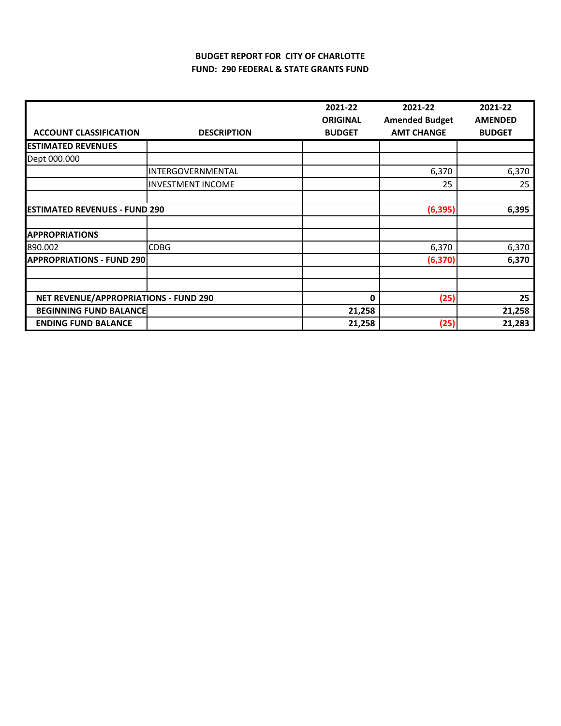# **BUDGET REPORT FOR CITY OF CHARLOTTE FUND: 290 FEDERAL & STATE GRANTS FUND**

|                                       |                          | 2021-22         | 2021-22               | 2021-22        |
|---------------------------------------|--------------------------|-----------------|-----------------------|----------------|
|                                       |                          | <b>ORIGINAL</b> | <b>Amended Budget</b> | <b>AMENDED</b> |
| <b>ACCOUNT CLASSIFICATION</b>         | <b>DESCRIPTION</b>       | <b>BUDGET</b>   | <b>AMT CHANGE</b>     | <b>BUDGET</b>  |
| <b>ESTIMATED REVENUES</b>             |                          |                 |                       |                |
| Dept 000.000                          |                          |                 |                       |                |
|                                       | INTERGOVERNMENTAL        |                 | 6,370                 | 6,370          |
|                                       | <b>INVESTMENT INCOME</b> |                 | 25                    | 25             |
|                                       |                          |                 |                       |                |
| <b>ESTIMATED REVENUES - FUND 290</b>  |                          |                 | (6, 395)              | 6,395          |
|                                       |                          |                 |                       |                |
| <b>APPROPRIATIONS</b>                 |                          |                 |                       |                |
| 890.002                               | <b>CDBG</b>              |                 | 6,370                 | 6,370          |
| <b>APPROPRIATIONS - FUND 290</b>      |                          |                 | (6, 370)              | 6,370          |
|                                       |                          |                 |                       |                |
| NET REVENUE/APPROPRIATIONS - FUND 290 |                          | 0               | (25)                  | 25             |
| <b>BEGINNING FUND BALANCE</b>         |                          | 21,258          |                       | 21,258         |
| <b>ENDING FUND BALANCE</b>            |                          | 21,258          | (25)                  | 21,283         |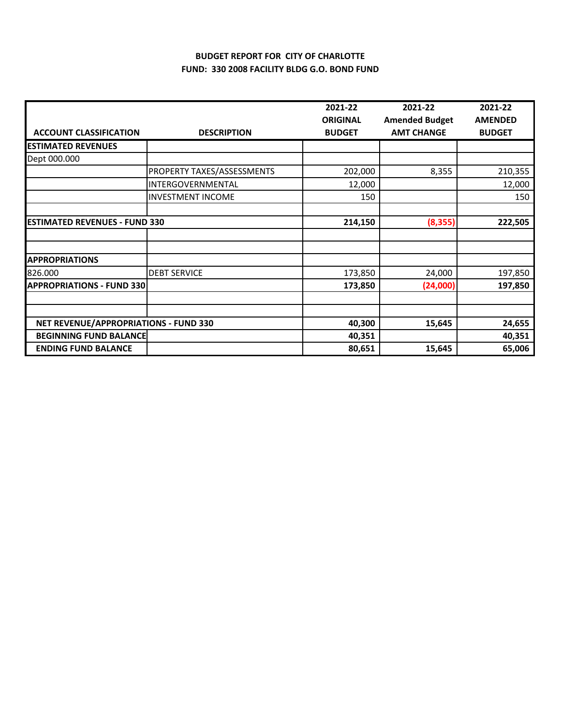## **BUDGET REPORT FOR CITY OF CHARLOTTE FUND: 330 2008 FACILITY BLDG G.O. BOND FUND**

|                                       |                            | 2021-22                          | 2021-22                                    | 2021-22                         |
|---------------------------------------|----------------------------|----------------------------------|--------------------------------------------|---------------------------------|
| <b>ACCOUNT CLASSIFICATION</b>         | <b>DESCRIPTION</b>         | <b>ORIGINAL</b><br><b>BUDGET</b> | <b>Amended Budget</b><br><b>AMT CHANGE</b> | <b>AMENDED</b><br><b>BUDGET</b> |
| <b>ESTIMATED REVENUES</b>             |                            |                                  |                                            |                                 |
| Dept 000.000                          |                            |                                  |                                            |                                 |
|                                       | PROPERTY TAXES/ASSESSMENTS | 202,000                          | 8,355                                      | 210,355                         |
|                                       | INTERGOVERNMENTAL          | 12,000                           |                                            | 12,000                          |
|                                       | <b>INVESTMENT INCOME</b>   | 150                              |                                            | 150                             |
|                                       |                            |                                  |                                            |                                 |
| <b>ESTIMATED REVENUES - FUND 330</b>  |                            | 214,150                          | (8, 355)                                   | 222,505                         |
|                                       |                            |                                  |                                            |                                 |
| <b>APPROPRIATIONS</b>                 |                            |                                  |                                            |                                 |
| 826.000                               | <b>DEBT SERVICE</b>        | 173,850                          | 24,000                                     | 197,850                         |
| <b>APPROPRIATIONS - FUND 330</b>      |                            | 173,850                          | (24,000)                                   | 197,850                         |
|                                       |                            |                                  |                                            |                                 |
|                                       |                            |                                  |                                            |                                 |
| NET REVENUE/APPROPRIATIONS - FUND 330 |                            | 40,300                           | 15,645                                     | 24,655                          |
| <b>BEGINNING FUND BALANCE</b>         |                            | 40,351                           |                                            | 40,351                          |
| <b>ENDING FUND BALANCE</b>            |                            | 80,651                           | 15,645                                     | 65,006                          |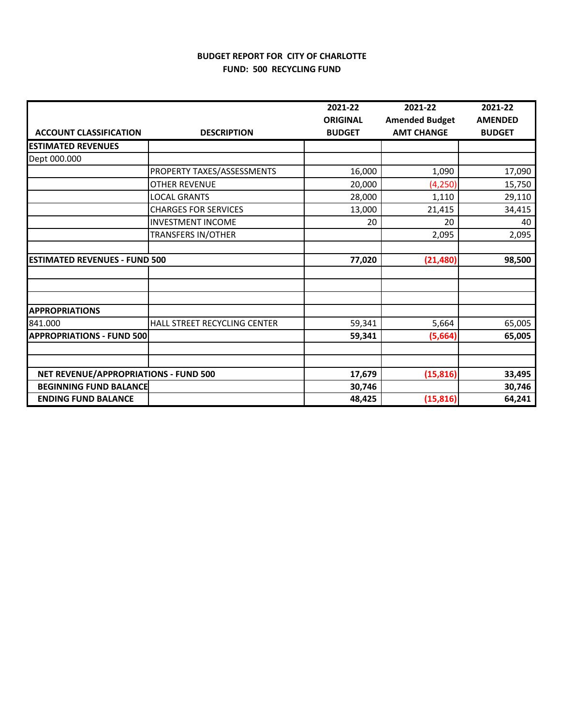# **BUDGET REPORT FOR CITY OF CHARLOTTE FUND: 500 RECYCLING FUND**

|                                       |                              | 2021-22         | 2021-22               | 2021-22        |
|---------------------------------------|------------------------------|-----------------|-----------------------|----------------|
|                                       |                              | <b>ORIGINAL</b> | <b>Amended Budget</b> | <b>AMENDED</b> |
| <b>ACCOUNT CLASSIFICATION</b>         | <b>DESCRIPTION</b>           | <b>BUDGET</b>   | <b>AMT CHANGE</b>     | <b>BUDGET</b>  |
| <b>ESTIMATED REVENUES</b>             |                              |                 |                       |                |
| Dept 000.000                          |                              |                 |                       |                |
|                                       | PROPERTY TAXES/ASSESSMENTS   | 16,000          | 1,090                 | 17,090         |
|                                       | <b>OTHER REVENUE</b>         | 20,000          | (4, 250)              | 15,750         |
|                                       | <b>LOCAL GRANTS</b>          | 28,000          | 1,110                 | 29,110         |
|                                       | <b>CHARGES FOR SERVICES</b>  | 13,000          | 21,415                | 34,415         |
|                                       | <b>INVESTMENT INCOME</b>     | 20              | 20                    | 40             |
|                                       | <b>TRANSFERS IN/OTHER</b>    |                 | 2,095                 | 2,095          |
|                                       |                              |                 |                       |                |
| <b>ESTIMATED REVENUES - FUND 500</b>  |                              | 77,020          | (21, 480)             | 98,500         |
|                                       |                              |                 |                       |                |
|                                       |                              |                 |                       |                |
|                                       |                              |                 |                       |                |
| <b>APPROPRIATIONS</b>                 |                              |                 |                       |                |
| 841.000                               | HALL STREET RECYCLING CENTER | 59,341          | 5,664                 | 65,005         |
| <b>APPROPRIATIONS - FUND 500</b>      |                              | 59,341          | (5,664)               | 65,005         |
|                                       |                              |                 |                       |                |
|                                       |                              |                 |                       |                |
| NET REVENUE/APPROPRIATIONS - FUND 500 |                              | 17,679          | (15, 816)             | 33,495         |
| <b>BEGINNING FUND BALANCE</b>         |                              | 30,746          |                       | 30,746         |
| <b>ENDING FUND BALANCE</b>            |                              | 48,425          | (15, 816)             | 64,241         |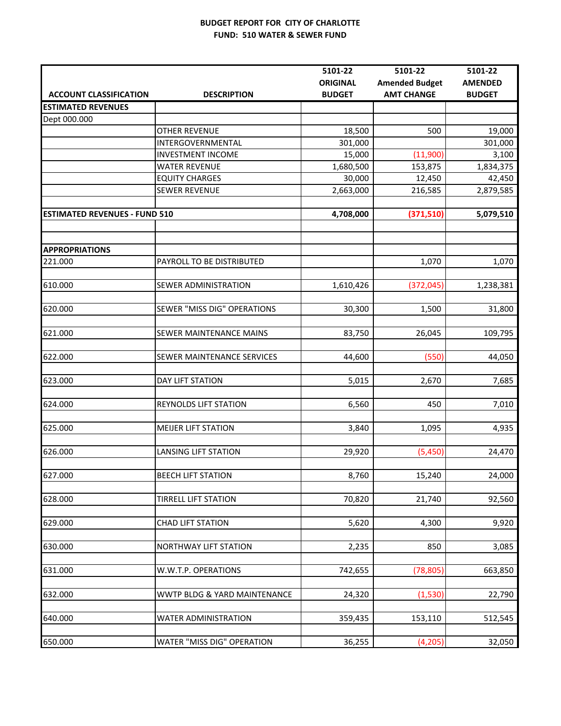#### **BUDGET REPORT FOR CITY OF CHARLOTTE FUND: 510 WATER & SEWER FUND**

|                                      |                                   | 5101-22         | 5101-22               | 5101-22        |
|--------------------------------------|-----------------------------------|-----------------|-----------------------|----------------|
|                                      |                                   | <b>ORIGINAL</b> | <b>Amended Budget</b> | <b>AMENDED</b> |
| <b>ACCOUNT CLASSIFICATION</b>        | <b>DESCRIPTION</b>                | <b>BUDGET</b>   | <b>AMT CHANGE</b>     | <b>BUDGET</b>  |
| <b>ESTIMATED REVENUES</b>            |                                   |                 |                       |                |
| Dept 000.000                         |                                   |                 |                       |                |
|                                      | <b>OTHER REVENUE</b>              | 18,500          | 500                   | 19,000         |
|                                      | INTERGOVERNMENTAL                 | 301,000         |                       | 301,000        |
|                                      | <b>INVESTMENT INCOME</b>          | 15,000          | (11,900)              | 3,100          |
|                                      | <b>WATER REVENUE</b>              | 1,680,500       | 153,875               | 1,834,375      |
|                                      | <b>EQUITY CHARGES</b>             | 30,000          | 12,450                | 42,450         |
|                                      | <b>SEWER REVENUE</b>              | 2,663,000       | 216,585               | 2,879,585      |
|                                      |                                   |                 |                       |                |
| <b>ESTIMATED REVENUES - FUND 510</b> |                                   | 4,708,000       | (371, 510)            | 5,079,510      |
|                                      |                                   |                 |                       |                |
| <b>APPROPRIATIONS</b>                |                                   |                 |                       |                |
| 221.000                              | PAYROLL TO BE DISTRIBUTED         |                 | 1,070                 | 1,070          |
|                                      |                                   |                 |                       |                |
| 610.000                              | <b>SEWER ADMINISTRATION</b>       | 1,610,426       | (372, 045)            | 1,238,381      |
|                                      |                                   |                 |                       |                |
| 620.000                              | SEWER "MISS DIG" OPERATIONS       | 30,300          | 1,500                 | 31,800         |
|                                      |                                   |                 |                       |                |
| 621.000                              | SEWER MAINTENANCE MAINS           | 83,750          | 26,045                | 109,795        |
|                                      |                                   |                 |                       |                |
| 622.000                              | SEWER MAINTENANCE SERVICES        | 44,600          | (550)                 | 44,050         |
|                                      |                                   |                 |                       |                |
| 623.000                              | <b>DAY LIFT STATION</b>           | 5,015           | 2,670                 | 7,685          |
|                                      |                                   |                 |                       |                |
| 624.000                              | <b>REYNOLDS LIFT STATION</b>      | 6,560           | 450                   | 7,010          |
|                                      |                                   |                 |                       |                |
| 625.000                              | <b>MEIJER LIFT STATION</b>        | 3,840           | 1,095                 | 4,935          |
|                                      |                                   |                 |                       |                |
| 626.000                              | <b>LANSING LIFT STATION</b>       | 29,920          | (5,450)               | 24,470         |
|                                      |                                   |                 |                       |                |
| 627.000                              | <b>BEECH LIFT STATION</b>         | 8,760           | 15,240                | 24,000         |
|                                      |                                   |                 |                       |                |
| 628.000                              | <b>TIRRELL LIFT STATION</b>       | 70,820          | 21,740                | 92,560         |
|                                      |                                   |                 |                       |                |
| 629.000                              | CHAD LIFT STATION                 | 5,620           | 4,300                 | 9,920          |
|                                      |                                   |                 |                       |                |
| 630.000                              | NORTHWAY LIFT STATION             | 2,235           | 850                   | 3,085          |
|                                      |                                   |                 |                       |                |
| 631.000                              | W.W.T.P. OPERATIONS               | 742,655         | (78, 805)             | 663,850        |
|                                      |                                   |                 |                       |                |
| 632.000                              | WWTP BLDG & YARD MAINTENANCE      | 24,320          | (1,530)               | 22,790         |
|                                      |                                   |                 |                       |                |
| 640.000                              | <b>WATER ADMINISTRATION</b>       | 359,435         | 153,110               | 512,545        |
|                                      |                                   |                 |                       |                |
| 650.000                              | <b>WATER "MISS DIG" OPERATION</b> | 36,255          | (4,205)               | 32,050         |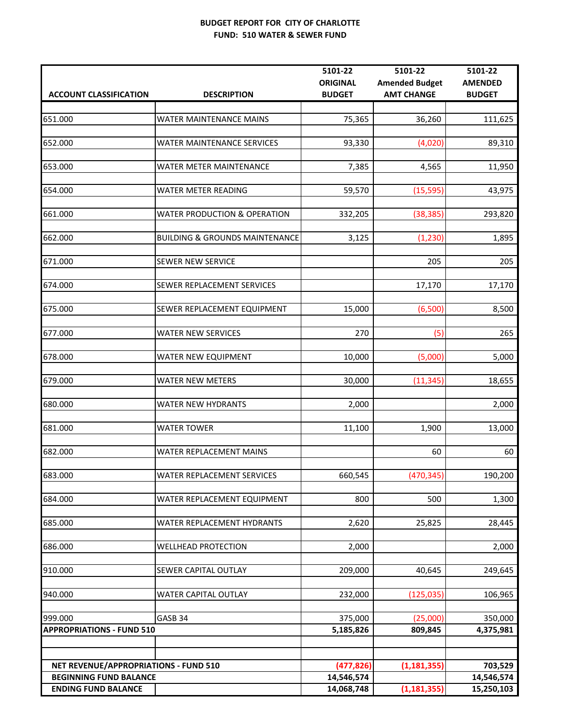#### **BUDGET REPORT FOR CITY OF CHARLOTTE FUND: 510 WATER & SEWER FUND**

|                                       |                                           | 5101-22         | 5101-22               | 5101-22        |
|---------------------------------------|-------------------------------------------|-----------------|-----------------------|----------------|
|                                       |                                           | <b>ORIGINAL</b> | <b>Amended Budget</b> | <b>AMENDED</b> |
| <b>ACCOUNT CLASSIFICATION</b>         | <b>DESCRIPTION</b>                        | <b>BUDGET</b>   | <b>AMT CHANGE</b>     | <b>BUDGET</b>  |
|                                       |                                           |                 |                       |                |
| 651.000                               | WATER MAINTENANCE MAINS                   | 75,365          | 36,260                | 111,625        |
|                                       |                                           |                 |                       |                |
| 652.000                               | WATER MAINTENANCE SERVICES                | 93,330          | (4,020)               | 89,310         |
|                                       |                                           |                 |                       |                |
| 653.000                               | WATER METER MAINTENANCE                   |                 |                       |                |
|                                       |                                           | 7,385           | 4,565                 | 11,950         |
|                                       |                                           |                 |                       |                |
| 654.000                               | WATER METER READING                       | 59,570          | (15, 595)             | 43,975         |
|                                       |                                           |                 |                       |                |
| 661.000                               | <b>WATER PRODUCTION &amp; OPERATION</b>   | 332,205         | (38, 385)             | 293,820        |
|                                       |                                           |                 |                       |                |
| 662.000                               | <b>BUILDING &amp; GROUNDS MAINTENANCE</b> | 3,125           | (1, 230)              | 1,895          |
|                                       |                                           |                 |                       |                |
| 671.000                               | <b>SEWER NEW SERVICE</b>                  |                 | 205                   | 205            |
|                                       |                                           |                 |                       |                |
| 674.000                               | SEWER REPLACEMENT SERVICES                |                 | 17,170                | 17,170         |
|                                       |                                           |                 |                       |                |
| 675.000                               |                                           |                 | (6,500)               |                |
|                                       | SEWER REPLACEMENT EQUIPMENT               | 15,000          |                       | 8,500          |
|                                       |                                           |                 |                       |                |
| 677.000                               | WATER NEW SERVICES                        | 270             | (5)                   | 265            |
|                                       |                                           |                 |                       |                |
| 678.000                               | WATER NEW EQUIPMENT                       | 10,000          | (5,000)               | 5,000          |
|                                       |                                           |                 |                       |                |
| 679.000                               | <b>WATER NEW METERS</b>                   | 30,000          | (11, 345)             | 18,655         |
|                                       |                                           |                 |                       |                |
| 680.000                               | <b>WATER NEW HYDRANTS</b>                 | 2,000           |                       | 2,000          |
|                                       |                                           |                 |                       |                |
| 681.000                               | <b>WATER TOWER</b>                        | 11,100          | 1,900                 | 13,000         |
|                                       |                                           |                 |                       |                |
| 682.000                               | WATER REPLACEMENT MAINS                   |                 | 60                    | 60             |
|                                       |                                           |                 |                       |                |
|                                       |                                           |                 |                       |                |
| 683.000                               | <b>WATER REPLACEMENT SERVICES</b>         | 660,545         | (470, 345)            | 190,200        |
|                                       |                                           |                 |                       |                |
| 684.000                               | WATER REPLACEMENT EQUIPMENT               | 800             | 500                   | 1,300          |
|                                       |                                           |                 |                       |                |
| 685.000                               | WATER REPLACEMENT HYDRANTS                | 2,620           | 25,825                | 28,445         |
|                                       |                                           |                 |                       |                |
| 686.000                               | <b>WELLHEAD PROTECTION</b>                | 2,000           |                       | 2,000          |
|                                       |                                           |                 |                       |                |
| 910.000                               | SEWER CAPITAL OUTLAY                      | 209,000         | 40,645                | 249,645        |
|                                       |                                           |                 |                       |                |
| 940.000                               | WATER CAPITAL OUTLAY                      | 232,000         | (125, 035)            | 106,965        |
|                                       |                                           |                 |                       |                |
| 999.000                               | GASB 34                                   | 375,000         | (25,000)              | 350,000        |
|                                       |                                           |                 |                       |                |
| <b>APPROPRIATIONS - FUND 510</b>      |                                           | 5,185,826       | 809,845               | 4,375,981      |
|                                       |                                           |                 |                       |                |
|                                       |                                           |                 |                       |                |
| NET REVENUE/APPROPRIATIONS - FUND 510 |                                           | (477, 826)      | (1, 181, 355)         | 703,529        |
| <b>BEGINNING FUND BALANCE</b>         |                                           | 14,546,574      |                       | 14,546,574     |
| <b>ENDING FUND BALANCE</b>            |                                           | 14,068,748      | (1, 181, 355)         | 15,250,103     |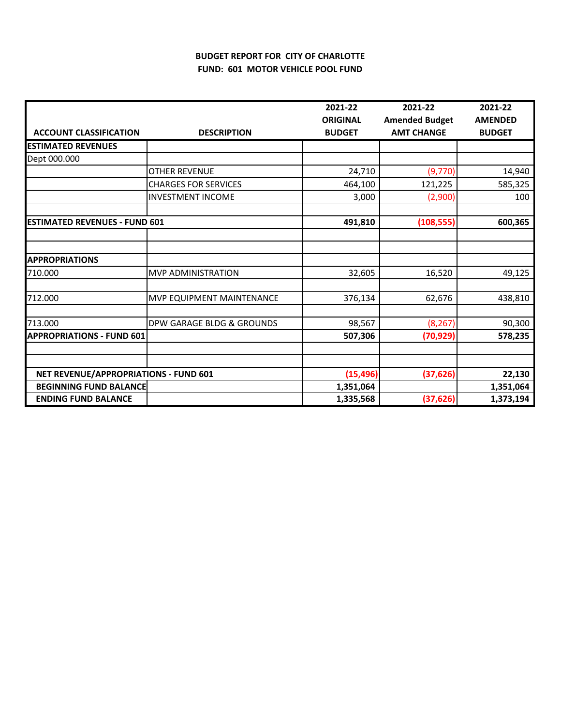# **BUDGET REPORT FOR CITY OF CHARLOTTE FUND: 601 MOTOR VEHICLE POOL FUND**

|                                       |                             | 2021-22                          | 2021-22                                    | 2021-22                         |
|---------------------------------------|-----------------------------|----------------------------------|--------------------------------------------|---------------------------------|
| <b>ACCOUNT CLASSIFICATION</b>         | <b>DESCRIPTION</b>          | <b>ORIGINAL</b><br><b>BUDGET</b> | <b>Amended Budget</b><br><b>AMT CHANGE</b> | <b>AMENDED</b><br><b>BUDGET</b> |
| <b>ESTIMATED REVENUES</b>             |                             |                                  |                                            |                                 |
| Dept 000.000                          |                             |                                  |                                            |                                 |
|                                       | <b>OTHER REVENUE</b>        | 24,710                           | (9,770)                                    | 14,940                          |
|                                       | <b>CHARGES FOR SERVICES</b> | 464,100                          | 121,225                                    | 585,325                         |
|                                       | <b>INVESTMENT INCOME</b>    | 3,000                            | (2,900)                                    | 100                             |
|                                       |                             |                                  |                                            |                                 |
| <b>ESTIMATED REVENUES - FUND 601</b>  |                             | 491,810                          | (108, 555)                                 | 600,365                         |
|                                       |                             |                                  |                                            |                                 |
|                                       |                             |                                  |                                            |                                 |
| <b>APPROPRIATIONS</b>                 |                             |                                  |                                            |                                 |
| 710.000                               | MVP ADMINISTRATION          | 32,605                           | 16,520                                     | 49,125                          |
| 712.000                               | MVP EQUIPMENT MAINTENANCE   | 376,134                          | 62,676                                     | 438,810                         |
| 713.000                               | DPW GARAGE BLDG & GROUNDS   | 98,567                           | (8, 267)                                   | 90,300                          |
| <b>APPROPRIATIONS - FUND 601</b>      |                             | 507,306                          | (70, 929)                                  | 578,235                         |
|                                       |                             |                                  |                                            |                                 |
|                                       |                             |                                  |                                            |                                 |
| NET REVENUE/APPROPRIATIONS - FUND 601 |                             | (15, 496)                        | (37, 626)                                  | 22,130                          |
| <b>BEGINNING FUND BALANCE</b>         |                             | 1,351,064                        |                                            | 1,351,064                       |
| <b>ENDING FUND BALANCE</b>            |                             | 1,335,568                        | (37, 626)                                  | 1,373,194                       |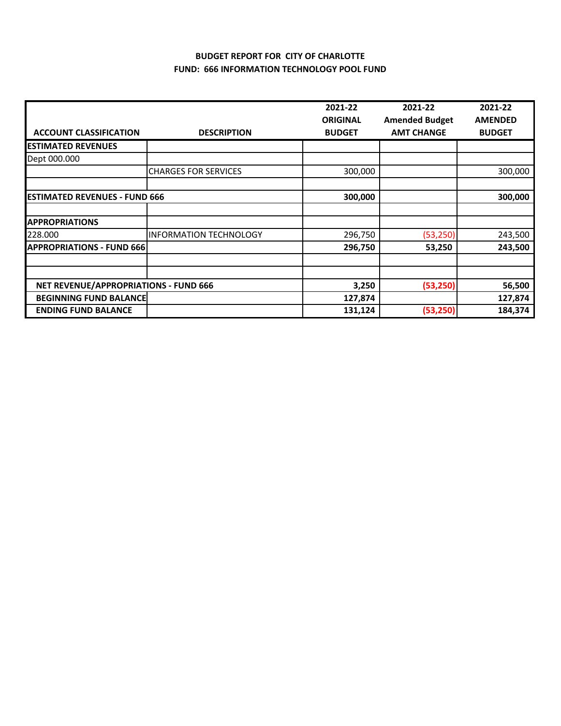## **BUDGET REPORT FOR CITY OF CHARLOTTE FUND: 666 INFORMATION TECHNOLOGY POOL FUND**

|                                       |                               | 2021-22         | 2021-22               | 2021-22        |
|---------------------------------------|-------------------------------|-----------------|-----------------------|----------------|
|                                       |                               | <b>ORIGINAL</b> | <b>Amended Budget</b> | <b>AMENDED</b> |
| <b>ACCOUNT CLASSIFICATION</b>         | <b>DESCRIPTION</b>            | <b>BUDGET</b>   | <b>AMT CHANGE</b>     | <b>BUDGET</b>  |
| <b>ESTIMATED REVENUES</b>             |                               |                 |                       |                |
| Dept 000.000                          |                               |                 |                       |                |
|                                       | <b>CHARGES FOR SERVICES</b>   | 300,000         |                       | 300,000        |
|                                       |                               |                 |                       |                |
| <b>ESTIMATED REVENUES - FUND 666</b>  |                               | 300,000         |                       | 300,000        |
| <b>APPROPRIATIONS</b>                 |                               |                 |                       |                |
| 228.000                               | <b>INFORMATION TECHNOLOGY</b> | 296,750         | (53, 250)             | 243,500        |
| <b>APPROPRIATIONS - FUND 666</b>      |                               | 296,750         | 53,250                | 243,500        |
|                                       |                               |                 |                       |                |
| NET REVENUE/APPROPRIATIONS - FUND 666 |                               | 3,250           | (53, 250)             | 56,500         |
| <b>BEGINNING FUND BALANCE</b>         |                               | 127,874         |                       | 127,874        |
| <b>ENDING FUND BALANCE</b>            |                               | 131,124         | (53, 250)             | 184,374        |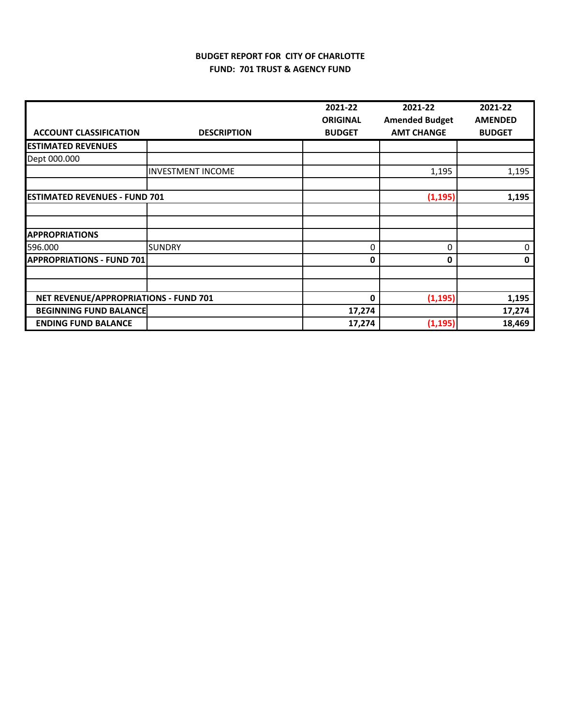# **BUDGET REPORT FOR CITY OF CHARLOTTE FUND: 701 TRUST & AGENCY FUND**

|                                       |                          | 2021-22         | 2021-22               | 2021-22        |
|---------------------------------------|--------------------------|-----------------|-----------------------|----------------|
|                                       |                          | <b>ORIGINAL</b> | <b>Amended Budget</b> | <b>AMENDED</b> |
| <b>ACCOUNT CLASSIFICATION</b>         | <b>DESCRIPTION</b>       | <b>BUDGET</b>   | <b>AMT CHANGE</b>     | <b>BUDGET</b>  |
| <b>ESTIMATED REVENUES</b>             |                          |                 |                       |                |
| Dept 000.000                          |                          |                 |                       |                |
|                                       | <b>INVESTMENT INCOME</b> |                 | 1,195                 | 1,195          |
| <b>ESTIMATED REVENUES - FUND 701</b>  |                          |                 | (1, 195)              | 1,195          |
|                                       |                          |                 |                       |                |
| <b>APPROPRIATIONS</b>                 |                          |                 |                       |                |
| 596.000                               | <b>SUNDRY</b>            | 0               | 0                     | 0              |
| <b>APPROPRIATIONS - FUND 701</b>      |                          | 0               | 0                     | 0              |
|                                       |                          |                 |                       |                |
| NET REVENUE/APPROPRIATIONS - FUND 701 |                          | 0               | (1, 195)              | 1,195          |
| <b>BEGINNING FUND BALANCE</b>         |                          | 17,274          |                       | 17,274         |
| <b>ENDING FUND BALANCE</b>            |                          | 17,274          | (1, 195)              | 18,469         |